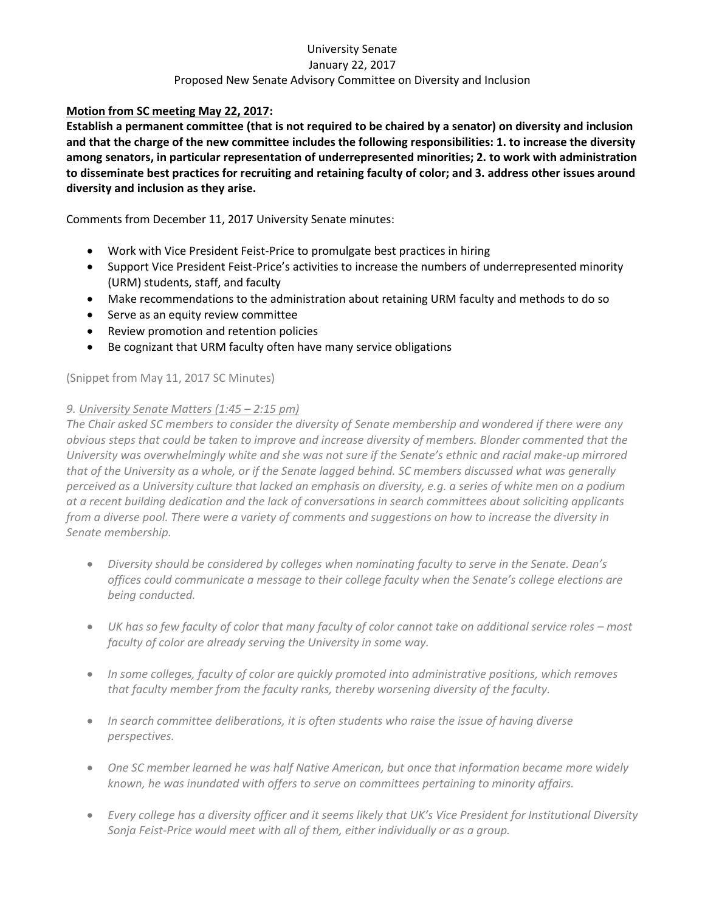## University Senate January 22, 2017 Proposed New Senate Advisory Committee on Diversity and Inclusion

## **Motion from SC meeting May 22, 2017:**

**Establish a permanent committee (that is not required to be chaired by a senator) on diversity and inclusion and that the charge of the new committee includes the following responsibilities: 1. to increase the diversity among senators, in particular representation of underrepresented minorities; 2. to work with administration to disseminate best practices for recruiting and retaining faculty of color; and 3. address other issues around diversity and inclusion as they arise.**

Comments from December 11, 2017 University Senate minutes:

- Work with Vice President Feist-Price to promulgate best practices in hiring
- Support Vice President Feist-Price's activities to increase the numbers of underrepresented minority (URM) students, staff, and faculty
- Make recommendations to the administration about retaining URM faculty and methods to do so
- Serve as an equity review committee
- Review promotion and retention policies
- Be cognizant that URM faculty often have many service obligations

(Snippet from May 11, 2017 SC Minutes)

## *9. University Senate Matters (1:45 – 2:15 pm)*

*The Chair asked SC members to consider the diversity of Senate membership and wondered if there were any obvious steps that could be taken to improve and increase diversity of members. Blonder commented that the University was overwhelmingly white and she was not sure if the Senate's ethnic and racial make-up mirrored that of the University as a whole, or if the Senate lagged behind. SC members discussed what was generally perceived as a University culture that lacked an emphasis on diversity, e.g. a series of white men on a podium at a recent building dedication and the lack of conversations in search committees about soliciting applicants from a diverse pool. There were a variety of comments and suggestions on how to increase the diversity in Senate membership.*

- *Diversity should be considered by colleges when nominating faculty to serve in the Senate. Dean's offices could communicate a message to their college faculty when the Senate's college elections are being conducted.*
- **•** UK has so few faculty of color that many faculty of color cannot take on additional service roles most *faculty of color are already serving the University in some way.*
- *In some colleges, faculty of color are quickly promoted into administrative positions, which removes that faculty member from the faculty ranks, thereby worsening diversity of the faculty.*
- *In search committee deliberations, it is often students who raise the issue of having diverse perspectives.*
- *One SC member learned he was half Native American, but once that information became more widely known, he was inundated with offers to serve on committees pertaining to minority affairs.*
- *Every college has a diversity officer and it seems likely that UK's Vice President for Institutional Diversity Sonja Feist-Price would meet with all of them, either individually or as a group.*